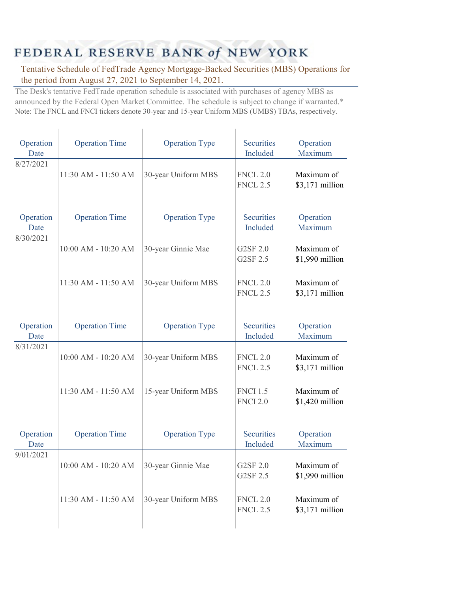## FEDERAL RESERVE BANK of NEW YORK

Tentative Schedule of FedTrade Agency Mortgage-Backed Securities (MBS) Operations for the period from August 27, 2021 to September 14, 2021.

The Desk's tentative FedTrade operation schedule is associated with purchases of agency MBS as announced by the Federal Open Market Committee. The schedule is subject to change if warranted.\* Note: The FNCL and FNCI tickers denote 30-year and 15-year Uniform MBS (UMBS) TBAs, respectively.

| Operation<br>Date | <b>Operation Time</b> | <b>Operation Type</b> | <b>Securities</b><br>Included      | Operation<br>Maximum          |
|-------------------|-----------------------|-----------------------|------------------------------------|-------------------------------|
| 8/27/2021         | 11:30 AM - 11:50 AM   | 30-year Uniform MBS   | <b>FNCL 2.0</b><br><b>FNCL 2.5</b> | Maximum of<br>\$3,171 million |
| Operation<br>Date | <b>Operation Time</b> | <b>Operation Type</b> | <b>Securities</b><br>Included      | Operation<br>Maximum          |
| 8/30/2021         | 10:00 AM - 10:20 AM   | 30-year Ginnie Mae    | G2SF 2.0<br>G2SF 2.5               | Maximum of<br>\$1,990 million |
|                   | 11:30 AM - 11:50 AM   | 30-year Uniform MBS   | <b>FNCL 2.0</b><br><b>FNCL 2.5</b> | Maximum of<br>\$3,171 million |
| Operation<br>Date | <b>Operation Time</b> | <b>Operation Type</b> | <b>Securities</b><br>Included      | Operation<br>Maximum          |
| 8/31/2021         | 10:00 AM - 10:20 AM   | 30-year Uniform MBS   | <b>FNCL 2.0</b><br><b>FNCL 2.5</b> | Maximum of<br>\$3,171 million |
|                   | 11:30 AM - 11:50 AM   | 15-year Uniform MBS   | <b>FNCI 1.5</b><br><b>FNCI 2.0</b> | Maximum of<br>\$1,420 million |
| Operation<br>Date | <b>Operation Time</b> | <b>Operation Type</b> | <b>Securities</b><br>Included      | Operation<br>Maximum          |
| 9/01/2021         | 10:00 AM - 10:20 AM   | 30-year Ginnie Mae    | G2SF 2.0<br>G2SF 2.5               | Maximum of<br>\$1,990 million |
|                   | 11:30 AM - 11:50 AM   | 30-year Uniform MBS   | <b>FNCL 2.0</b><br><b>FNCL 2.5</b> | Maximum of<br>\$3,171 million |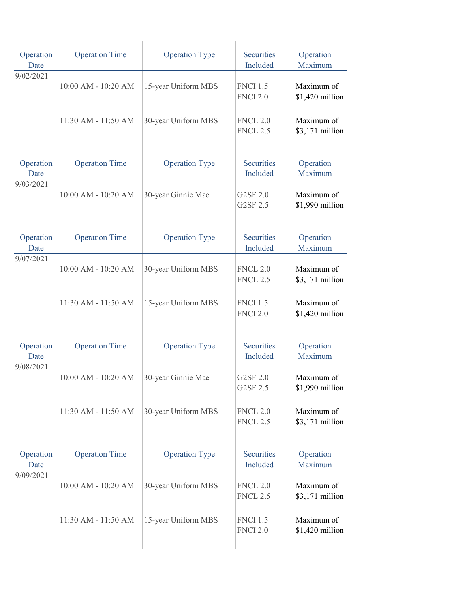| Operation<br>Date | <b>Operation Time</b>   | <b>Operation Type</b> | <b>Securities</b><br>Included      | Operation<br>Maximum           |
|-------------------|-------------------------|-----------------------|------------------------------------|--------------------------------|
| 9/02/2021         | 10:00 AM - 10:20 AM     | 15-year Uniform MBS   | <b>FNCI 1.5</b><br><b>FNCI 2.0</b> | Maximum of<br>\$1,420 million  |
|                   | 11:30 AM - 11:50 AM     | 30-year Uniform MBS   | <b>FNCL 2.0</b><br><b>FNCL 2.5</b> | Maximum of<br>\$3,171 million  |
| Operation<br>Date | <b>Operation Time</b>   | <b>Operation Type</b> | <b>Securities</b><br>Included      | Operation<br>Maximum           |
| 9/03/2021         | 10:00 AM - 10:20 AM     | 30-year Ginnie Mae    | G2SF 2.0<br>G2SF 2.5               | Maximum of<br>\$1,990 million  |
| Operation<br>Date | <b>Operation Time</b>   | <b>Operation Type</b> | <b>Securities</b><br>Included      | Operation<br>Maximum           |
| 9/07/2021         | 10:00 AM - 10:20 AM     | 30-year Uniform MBS   | <b>FNCL 2.0</b><br><b>FNCL 2.5</b> | Maximum of<br>$$3,171$ million |
|                   | 11:30 AM - 11:50 AM     | 15-year Uniform MBS   | <b>FNCI 1.5</b><br><b>FNCI 2.0</b> | Maximum of<br>\$1,420 million  |
| Operation<br>Date | <b>Operation Time</b>   | <b>Operation Type</b> | <b>Securities</b><br>Included      | Operation<br>Maximum           |
| 9/08/2021         | $10:00$ AM - $10:20$ AM | 30-year Ginnie Mae    | G2SF 2.0<br>G2SF 2.5               | Maximum of<br>\$1,990 million  |
|                   | 11:30 AM - 11:50 AM     | 30-year Uniform MBS   | <b>FNCL 2.0</b><br><b>FNCL 2.5</b> | Maximum of<br>\$3,171 million  |
| Operation<br>Date | <b>Operation Time</b>   | <b>Operation Type</b> | <b>Securities</b><br>Included      | Operation<br>Maximum           |
| 9/09/2021         | 10:00 AM - 10:20 AM     | 30-year Uniform MBS   | <b>FNCL 2.0</b><br><b>FNCL 2.5</b> | Maximum of<br>\$3,171 million  |
|                   | 11:30 AM - 11:50 AM     | 15-year Uniform MBS   | <b>FNCI 1.5</b><br><b>FNCI 2.0</b> | Maximum of<br>\$1,420 million  |